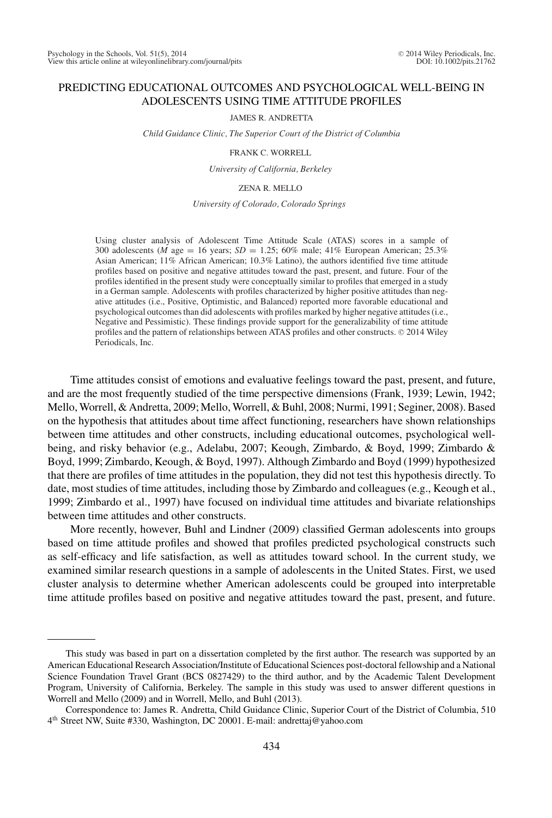# PREDICTING EDUCATIONAL OUTCOMES AND PSYCHOLOGICAL WELL-BEING IN ADOLESCENTS USING TIME ATTITUDE PROFILES

JAMES R. ANDRETTA

*Child Guidance Clinic, The Superior Court of the District of Columbia*

FRANK C. WORRELL

*University of California, Berkeley*

ZENA R. MELLO

*University of Colorado, Colorado Springs*

Using cluster analysis of Adolescent Time Attitude Scale (ATAS) scores in a sample of 300 adolescents (*M* age = 16 years;  $SD = 1.25$ ; 60% male; 41% European American; 25.3% Asian American; 11% African American; 10.3% Latino), the authors identified five time attitude profiles based on positive and negative attitudes toward the past, present, and future. Four of the profiles identified in the present study were conceptually similar to profiles that emerged in a study in a German sample. Adolescents with profiles characterized by higher positive attitudes than negative attitudes (i.e., Positive, Optimistic, and Balanced) reported more favorable educational and psychological outcomes than did adolescents with profiles marked by higher negative attitudes (i.e., Negative and Pessimistic). These findings provide support for the generalizability of time attitude profiles and the pattern of relationships between ATAS profiles and other constructs. © 2014 Wiley Periodicals, Inc.

Time attitudes consist of emotions and evaluative feelings toward the past, present, and future, and are the most frequently studied of the time perspective dimensions (Frank, 1939; Lewin, 1942; Mello, Worrell, & Andretta, 2009; Mello, Worrell, & Buhl, 2008; Nurmi, 1991; Seginer, 2008). Based on the hypothesis that attitudes about time affect functioning, researchers have shown relationships between time attitudes and other constructs, including educational outcomes, psychological wellbeing, and risky behavior (e.g., Adelabu, 2007; Keough, Zimbardo, & Boyd, 1999; Zimbardo & Boyd, 1999; Zimbardo, Keough, & Boyd, 1997). Although Zimbardo and Boyd (1999) hypothesized that there are profiles of time attitudes in the population, they did not test this hypothesis directly. To date, most studies of time attitudes, including those by Zimbardo and colleagues (e.g., Keough et al., 1999; Zimbardo et al., 1997) have focused on individual time attitudes and bivariate relationships between time attitudes and other constructs.

More recently, however, Buhl and Lindner (2009) classified German adolescents into groups based on time attitude profiles and showed that profiles predicted psychological constructs such as self-efficacy and life satisfaction, as well as attitudes toward school. In the current study, we examined similar research questions in a sample of adolescents in the United States. First, we used cluster analysis to determine whether American adolescents could be grouped into interpretable time attitude profiles based on positive and negative attitudes toward the past, present, and future.

This study was based in part on a dissertation completed by the first author. The research was supported by an American Educational Research Association/Institute of Educational Sciences post-doctoral fellowship and a National Science Foundation Travel Grant (BCS 0827429) to the third author, and by the Academic Talent Development Program, University of California, Berkeley. The sample in this study was used to answer different questions in Worrell and Mello (2009) and in Worrell, Mello, and Buhl (2013).

Correspondence to: James R. Andretta, Child Guidance Clinic, Superior Court of the District of Columbia, 510 4th Street NW, Suite #330, Washington, DC 20001. E-mail: andrettaj@yahoo.com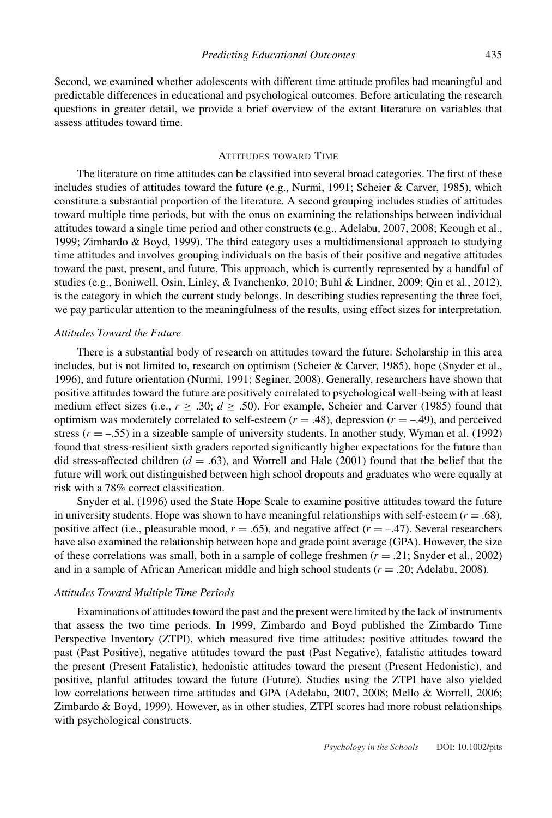Second, we examined whether adolescents with different time attitude profiles had meaningful and predictable differences in educational and psychological outcomes. Before articulating the research questions in greater detail, we provide a brief overview of the extant literature on variables that assess attitudes toward time.

## ATTITUDES TOWARD TIME

The literature on time attitudes can be classified into several broad categories. The first of these includes studies of attitudes toward the future (e.g., Nurmi, 1991; Scheier & Carver, 1985), which constitute a substantial proportion of the literature. A second grouping includes studies of attitudes toward multiple time periods, but with the onus on examining the relationships between individual attitudes toward a single time period and other constructs (e.g., Adelabu, 2007, 2008; Keough et al., 1999; Zimbardo & Boyd, 1999). The third category uses a multidimensional approach to studying time attitudes and involves grouping individuals on the basis of their positive and negative attitudes toward the past, present, and future. This approach, which is currently represented by a handful of studies (e.g., Boniwell, Osin, Linley, & Ivanchenko, 2010; Buhl & Lindner, 2009; Qin et al., 2012), is the category in which the current study belongs. In describing studies representing the three foci, we pay particular attention to the meaningfulness of the results, using effect sizes for interpretation.

### *Attitudes Toward the Future*

There is a substantial body of research on attitudes toward the future. Scholarship in this area includes, but is not limited to, research on optimism (Scheier & Carver, 1985), hope (Snyder et al., 1996), and future orientation (Nurmi, 1991; Seginer, 2008). Generally, researchers have shown that positive attitudes toward the future are positively correlated to psychological well-being with at least medium effect sizes (i.e.,  $r \ge 0.30$ ;  $d \ge 0.50$ ). For example, Scheier and Carver (1985) found that optimism was moderately correlated to self-esteem  $(r = .48)$ , depression  $(r = -.49)$ , and perceived stress  $(r = -.55)$  in a sizeable sample of university students. In another study, Wyman et al. (1992) found that stress-resilient sixth graders reported significantly higher expectations for the future than did stress-affected children  $(d = .63)$ , and Worrell and Hale (2001) found that the belief that the future will work out distinguished between high school dropouts and graduates who were equally at risk with a 78% correct classification.

Snyder et al. (1996) used the State Hope Scale to examine positive attitudes toward the future in university students. Hope was shown to have meaningful relationships with self-esteem  $(r = .68)$ , positive affect (i.e., pleasurable mood,  $r = .65$ ), and negative affect ( $r = -.47$ ). Several researchers have also examined the relationship between hope and grade point average (GPA). However, the size of these correlations was small, both in a sample of college freshmen (*r* = .21; Snyder et al., 2002) and in a sample of African American middle and high school students (*r* = .20; Adelabu, 2008).

## *Attitudes Toward Multiple Time Periods*

Examinations of attitudes toward the past and the present were limited by the lack of instruments that assess the two time periods. In 1999, Zimbardo and Boyd published the Zimbardo Time Perspective Inventory (ZTPI), which measured five time attitudes: positive attitudes toward the past (Past Positive), negative attitudes toward the past (Past Negative), fatalistic attitudes toward the present (Present Fatalistic), hedonistic attitudes toward the present (Present Hedonistic), and positive, planful attitudes toward the future (Future). Studies using the ZTPI have also yielded low correlations between time attitudes and GPA (Adelabu, 2007, 2008; Mello & Worrell, 2006; Zimbardo & Boyd, 1999). However, as in other studies, ZTPI scores had more robust relationships with psychological constructs.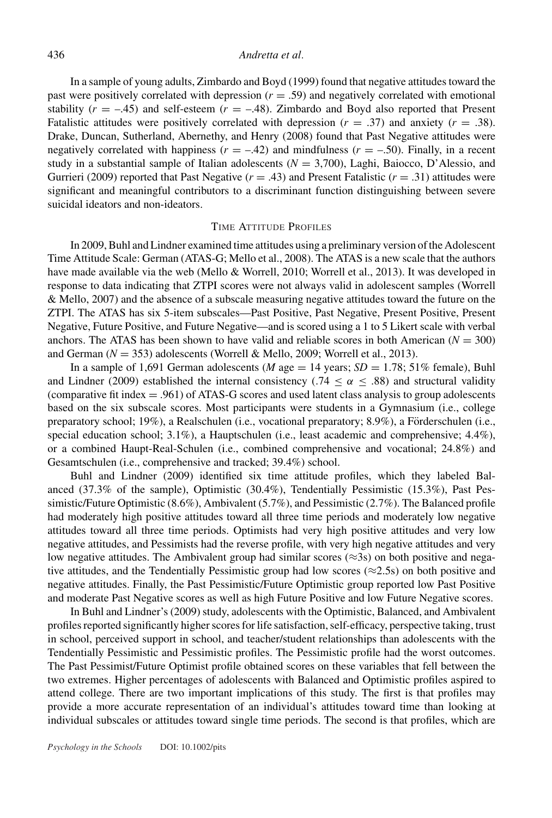### 436 *Andretta et al.*

In a sample of young adults, Zimbardo and Boyd (1999) found that negative attitudes toward the past were positively correlated with depression  $(r = .59)$  and negatively correlated with emotional stability  $(r = -.45)$  and self-esteem  $(r = -.48)$ . Zimbardo and Boyd also reported that Present Fatalistic attitudes were positively correlated with depression  $(r = .37)$  and anxiety  $(r = .38)$ . Drake, Duncan, Sutherland, Abernethy, and Henry (2008) found that Past Negative attitudes were negatively correlated with happiness  $(r = -.42)$  and mindfulness  $(r = -.50)$ . Finally, in a recent study in a substantial sample of Italian adolescents  $(N = 3,700)$ , Laghi, Baiocco, D'Alessio, and Gurrieri (2009) reported that Past Negative  $(r = .43)$  and Present Fatalistic  $(r = .31)$  attitudes were significant and meaningful contributors to a discriminant function distinguishing between severe suicidal ideators and non-ideators.

### TIME ATTITUDE PROFILES

In 2009, Buhl and Lindner examined time attitudes using a preliminary version of the Adolescent Time Attitude Scale: German (ATAS-G; Mello et al., 2008). The ATAS is a new scale that the authors have made available via the web (Mello & Worrell, 2010; Worrell et al., 2013). It was developed in response to data indicating that ZTPI scores were not always valid in adolescent samples (Worrell & Mello, 2007) and the absence of a subscale measuring negative attitudes toward the future on the ZTPI. The ATAS has six 5-item subscales—Past Positive, Past Negative, Present Positive, Present Negative, Future Positive, and Future Negative—and is scored using a 1 to 5 Likert scale with verbal anchors. The ATAS has been shown to have valid and reliable scores in both American  $(N = 300)$ and German  $(N = 353)$  adolescents (Worrell & Mello, 2009; Worrell et al., 2013).

In a sample of 1,691 German adolescents (*M* age  $= 14$  years; *SD*  $= 1.78$ ; 51% female), Buhl and Lindner (2009) established the internal consistency (.74  $\leq \alpha \leq .88$ ) and structural validity (comparative fit index = .961) of ATAS-G scores and used latent class analysis to group adolescents based on the six subscale scores. Most participants were students in a Gymnasium (i.e., college preparatory school; 19%), a Realschulen (i.e., vocational preparatory; 8.9%), a Förderschulen (i.e., special education school; 3.1%), a Hauptschulen (i.e., least academic and comprehensive; 4.4%), or a combined Haupt-Real-Schulen (i.e., combined comprehensive and vocational; 24.8%) and Gesamtschulen (i.e., comprehensive and tracked; 39.4%) school.

Buhl and Lindner (2009) identified six time attitude profiles, which they labeled Balanced (37.3% of the sample), Optimistic (30.4%), Tendentially Pessimistic (15.3%), Past Pessimistic/Future Optimistic (8.6%), Ambivalent (5.7%), and Pessimistic (2.7%). The Balanced profile had moderately high positive attitudes toward all three time periods and moderately low negative attitudes toward all three time periods. Optimists had very high positive attitudes and very low negative attitudes, and Pessimists had the reverse profile, with very high negative attitudes and very low negative attitudes. The Ambivalent group had similar scores ( $\approx$ 3s) on both positive and negative attitudes, and the Tendentially Pessimistic group had low scores ( $\approx$ 2.5s) on both positive and negative attitudes. Finally, the Past Pessimistic/Future Optimistic group reported low Past Positive and moderate Past Negative scores as well as high Future Positive and low Future Negative scores.

In Buhl and Lindner's (2009) study, adolescents with the Optimistic, Balanced, and Ambivalent profiles reported significantly higher scores for life satisfaction, self-efficacy, perspective taking, trust in school, perceived support in school, and teacher/student relationships than adolescents with the Tendentially Pessimistic and Pessimistic profiles. The Pessimistic profile had the worst outcomes. The Past Pessimist/Future Optimist profile obtained scores on these variables that fell between the two extremes. Higher percentages of adolescents with Balanced and Optimistic profiles aspired to attend college. There are two important implications of this study. The first is that profiles may provide a more accurate representation of an individual's attitudes toward time than looking at individual subscales or attitudes toward single time periods. The second is that profiles, which are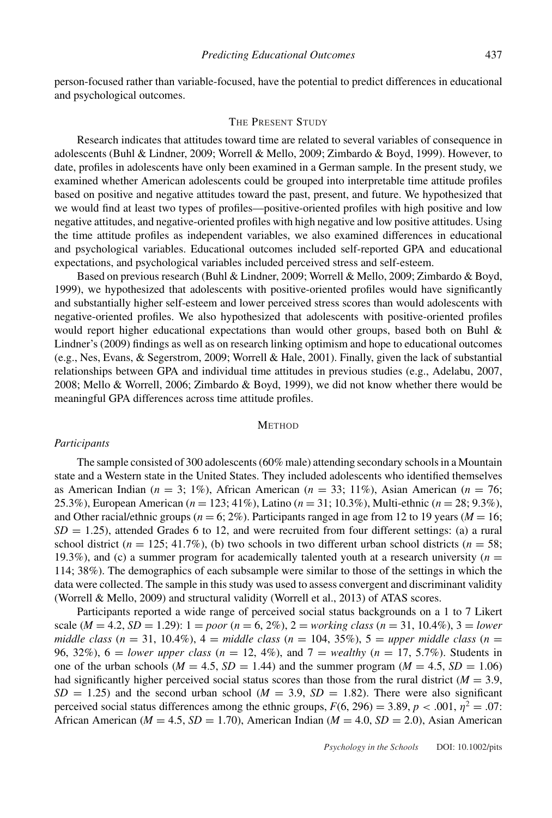person-focused rather than variable-focused, have the potential to predict differences in educational and psychological outcomes.

### THE PRESENT STUDY

Research indicates that attitudes toward time are related to several variables of consequence in adolescents (Buhl & Lindner, 2009; Worrell & Mello, 2009; Zimbardo & Boyd, 1999). However, to date, profiles in adolescents have only been examined in a German sample. In the present study, we examined whether American adolescents could be grouped into interpretable time attitude profiles based on positive and negative attitudes toward the past, present, and future. We hypothesized that we would find at least two types of profiles—positive-oriented profiles with high positive and low negative attitudes, and negative-oriented profiles with high negative and low positive attitudes. Using the time attitude profiles as independent variables, we also examined differences in educational and psychological variables. Educational outcomes included self-reported GPA and educational expectations, and psychological variables included perceived stress and self-esteem.

Based on previous research (Buhl & Lindner, 2009; Worrell & Mello, 2009; Zimbardo & Boyd, 1999), we hypothesized that adolescents with positive-oriented profiles would have significantly and substantially higher self-esteem and lower perceived stress scores than would adolescents with negative-oriented profiles. We also hypothesized that adolescents with positive-oriented profiles would report higher educational expectations than would other groups, based both on Buhl & Lindner's (2009) findings as well as on research linking optimism and hope to educational outcomes (e.g., Nes, Evans, & Segerstrom, 2009; Worrell & Hale, 2001). Finally, given the lack of substantial relationships between GPA and individual time attitudes in previous studies (e.g., Adelabu, 2007, 2008; Mello & Worrell, 2006; Zimbardo & Boyd, 1999), we did not know whether there would be meaningful GPA differences across time attitude profiles.

### **METHOD**

### *Participants*

The sample consisted of 300 adolescents (60% male) attending secondary schools in a Mountain state and a Western state in the United States. They included adolescents who identified themselves as American Indian ( $n = 3$ ; 1%), African American ( $n = 33$ ; 11%), Asian American ( $n = 76$ ; 25.3%), European American (*n* = 123; 41%), Latino (*n* = 31; 10.3%), Multi-ethnic (*n* = 28; 9.3%), and Other racial/ethnic groups ( $n = 6$ ; 2%). Participants ranged in age from 12 to 19 years ( $M = 16$ ;  $SD = 1.25$ ), attended Grades 6 to 12, and were recruited from four different settings: (a) a rural school district ( $n = 125$ ; 41.7%), (b) two schools in two different urban school districts ( $n = 58$ ; 19.3%), and (c) a summer program for academically talented youth at a research university  $(n = 1, 1, 2, 3, 4)$ 114; 38%). The demographics of each subsample were similar to those of the settings in which the data were collected. The sample in this study was used to assess convergent and discriminant validity (Worrell & Mello, 2009) and structural validity (Worrell et al., 2013) of ATAS scores.

Participants reported a wide range of perceived social status backgrounds on a 1 to 7 Likert scale (*M* = 4.2, *SD* = 1.29): 1 = *poor* (*n* = 6, 2%), 2 = *working class* (*n* = 31, 10.4%), 3 = *lower middle class* ( $n = 31, 10.4\%$ ),  $4 = middle \, class (n = 104, 35\%), 5 = upper \, middle \, class (n = 104)$ 96, 32%), 6 = *lower upper class* (*n* = 12, 4%), and 7 = *wealthy* (*n* = 17, 5.7%). Students in one of the urban schools ( $M = 4.5$ ,  $SD = 1.44$ ) and the summer program ( $M = 4.5$ ,  $SD = 1.06$ ) had significantly higher perceived social status scores than those from the rural district ( $M = 3.9$ ,  $SD = 1.25$ ) and the second urban school ( $M = 3.9$ ,  $SD = 1.82$ ). There were also significant perceived social status differences among the ethnic groups,  $F(6, 296) = 3.89$ ,  $p < .001$ ,  $n^2 = .07$ : African American (*M* = 4.5, *SD* = 1.70), American Indian (*M* = 4.0, *SD* = 2.0), Asian American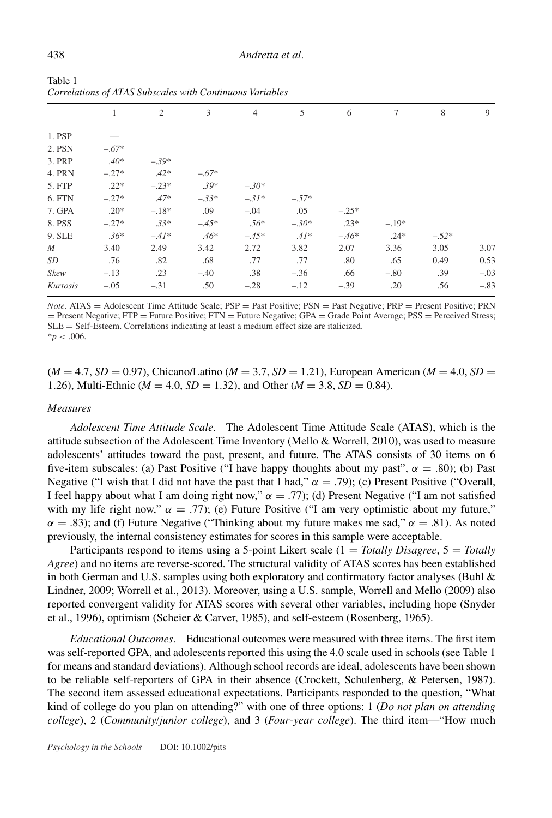|             | 1       | 2       | 3       | $\overline{4}$ | 5       | 6       | 7       | 8       | 9      |
|-------------|---------|---------|---------|----------------|---------|---------|---------|---------|--------|
| 1. PSP      |         |         |         |                |         |         |         |         |        |
| 2. PSN      | $-.67*$ |         |         |                |         |         |         |         |        |
| 3. PRP      | $.40*$  | $-.39*$ |         |                |         |         |         |         |        |
| 4. PRN      | $-.27*$ | $.42*$  | $-.67*$ |                |         |         |         |         |        |
| 5. FTP      | $.22*$  | $-.23*$ | $.39*$  | $-.30*$        |         |         |         |         |        |
| 6. FTN      | $-.27*$ | $.47*$  | $-.33*$ | $-.31*$        | $-.57*$ |         |         |         |        |
| 7. GPA      | $.20*$  | $-.18*$ | .09     | $-.04$         | .05     | $-.25*$ |         |         |        |
| 8. PSS      | $-.27*$ | $.33*$  | $-.45*$ | $.56*$         | $-.30*$ | $.23*$  | $-.19*$ |         |        |
| 9. SLE      | $.36*$  | $-.41*$ | $.46*$  | $-.45*$        | $.41*$  | $-.46*$ | $.24*$  | $-.52*$ |        |
| $M_{\odot}$ | 3.40    | 2.49    | 3.42    | 2.72           | 3.82    | 2.07    | 3.36    | 3.05    | 3.07   |
| SD          | .76     | .82     | .68     | .77            | .77     | .80     | .65     | 0.49    | 0.53   |
| Skew        | $-.13$  | .23     | $-.40$  | .38            | $-.36$  | .66     | $-.80$  | .39     | $-.03$ |
| Kurtosis    | $-.05$  | $-.31$  | .50     | $-.28$         | $-.12$  | $-.39$  | .20     | .56     | $-.83$ |

Table 1 *Correlations of ATAS Subscales with Continuous Variables*

*Note.* ATAS = Adolescent Time Attitude Scale; PSP = Past Positive; PSN = Past Negative; PRP = Present Positive; PRN = Present Negative; FTP = Future Positive; FTN = Future Negative; GPA = Grade Point Average; PSS = Perceived Stress; SLE = Self-Esteem. Correlations indicating at least a medium effect size are italicized.  $* p < .006$ .

# $(M = 4.7, SD = 0.97)$ , Chicano/Latino  $(M = 3.7, SD = 1.21)$ , European American  $(M = 4.0, SD = 1.21)$ 1.26), Multi-Ethnic ( $M = 4.0$ ,  $SD = 1.32$ ), and Other ( $M = 3.8$ ,  $SD = 0.84$ ).

#### *Measures*

*Adolescent Time Attitude Scale.* The Adolescent Time Attitude Scale (ATAS), which is the attitude subsection of the Adolescent Time Inventory (Mello  $&$  Worrell, 2010), was used to measure adolescents' attitudes toward the past, present, and future. The ATAS consists of 30 items on 6 five-item subscales: (a) Past Positive ("I have happy thoughts about my past",  $\alpha = .80$ ); (b) Past Negative ("I wish that I did not have the past that I had,"  $\alpha = .79$ ); (c) Present Positive ("Overall, I feel happy about what I am doing right now,"  $\alpha = .77$ ); (d) Present Negative ("I am not satisfied with my life right now,"  $\alpha = .77$ ; (e) Future Positive ("I am very optimistic about my future,"  $\alpha = .83$ ); and (f) Future Negative ("Thinking about my future makes me sad,"  $\alpha = .81$ ). As noted previously, the internal consistency estimates for scores in this sample were acceptable.

Participants respond to items using a 5-point Likert scale (1 = *Totally Disagree*, 5 = *Totally Agree*) and no items are reverse-scored. The structural validity of ATAS scores has been established in both German and U.S. samples using both exploratory and confirmatory factor analyses (Buhl  $\&$ Lindner, 2009; Worrell et al., 2013). Moreover, using a U.S. sample, Worrell and Mello (2009) also reported convergent validity for ATAS scores with several other variables, including hope (Snyder et al., 1996), optimism (Scheier & Carver, 1985), and self-esteem (Rosenberg, 1965).

*Educational Outcomes.* Educational outcomes were measured with three items. The first item was self-reported GPA, and adolescents reported this using the 4.0 scale used in schools (see Table 1 for means and standard deviations). Although school records are ideal, adolescents have been shown to be reliable self-reporters of GPA in their absence (Crockett, Schulenberg, & Petersen, 1987). The second item assessed educational expectations. Participants responded to the question, "What kind of college do you plan on attending?" with one of three options: 1 (*Do not plan on attending college*), 2 (*Community/junior college*), and 3 (*Four-year college*). The third item—"How much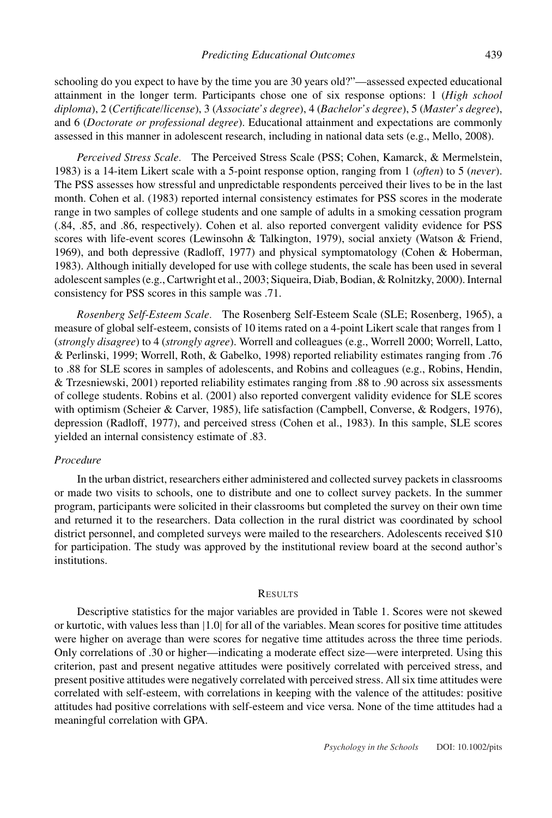schooling do you expect to have by the time you are 30 years old?"—assessed expected educational attainment in the longer term. Participants chose one of six response options: 1 (*High school diploma*), 2 (*Certificate/license*), 3 (*Associate's degree*), 4 (*Bachelor's degree*), 5 (*Master's degree*), and 6 (*Doctorate or professional degree*). Educational attainment and expectations are commonly assessed in this manner in adolescent research, including in national data sets (e.g., Mello, 2008).

*Perceived Stress Scale.* The Perceived Stress Scale (PSS; Cohen, Kamarck, & Mermelstein, 1983) is a 14-item Likert scale with a 5-point response option, ranging from 1 (*often*) to 5 (*never*). The PSS assesses how stressful and unpredictable respondents perceived their lives to be in the last month. Cohen et al. (1983) reported internal consistency estimates for PSS scores in the moderate range in two samples of college students and one sample of adults in a smoking cessation program (.84, .85, and .86, respectively). Cohen et al. also reported convergent validity evidence for PSS scores with life-event scores (Lewinsohn & Talkington, 1979), social anxiety (Watson & Friend, 1969), and both depressive (Radloff, 1977) and physical symptomatology (Cohen & Hoberman, 1983). Although initially developed for use with college students, the scale has been used in several adolescent samples (e.g., Cartwright et al., 2003; Siqueira, Diab, Bodian, & Rolnitzky, 2000). Internal consistency for PSS scores in this sample was .71.

*Rosenberg Self-Esteem Scale.* The Rosenberg Self-Esteem Scale (SLE; Rosenberg, 1965), a measure of global self-esteem, consists of 10 items rated on a 4-point Likert scale that ranges from 1 (*strongly disagree*) to 4 (*strongly agree*). Worrell and colleagues (e.g., Worrell 2000; Worrell, Latto, & Perlinski, 1999; Worrell, Roth, & Gabelko, 1998) reported reliability estimates ranging from .76 to .88 for SLE scores in samples of adolescents, and Robins and colleagues (e.g., Robins, Hendin, & Trzesniewski, 2001) reported reliability estimates ranging from .88 to .90 across six assessments of college students. Robins et al. (2001) also reported convergent validity evidence for SLE scores with optimism (Scheier & Carver, 1985), life satisfaction (Campbell, Converse, & Rodgers, 1976), depression (Radloff, 1977), and perceived stress (Cohen et al., 1983). In this sample, SLE scores yielded an internal consistency estimate of .83.

### *Procedure*

In the urban district, researchers either administered and collected survey packets in classrooms or made two visits to schools, one to distribute and one to collect survey packets. In the summer program, participants were solicited in their classrooms but completed the survey on their own time and returned it to the researchers. Data collection in the rural district was coordinated by school district personnel, and completed surveys were mailed to the researchers. Adolescents received \$10 for participation. The study was approved by the institutional review board at the second author's institutions.

#### **RESULTS**

Descriptive statistics for the major variables are provided in Table 1. Scores were not skewed or kurtotic, with values less than |1.0| for all of the variables. Mean scores for positive time attitudes were higher on average than were scores for negative time attitudes across the three time periods. Only correlations of .30 or higher—indicating a moderate effect size—were interpreted. Using this criterion, past and present negative attitudes were positively correlated with perceived stress, and present positive attitudes were negatively correlated with perceived stress. All six time attitudes were correlated with self-esteem, with correlations in keeping with the valence of the attitudes: positive attitudes had positive correlations with self-esteem and vice versa. None of the time attitudes had a meaningful correlation with GPA.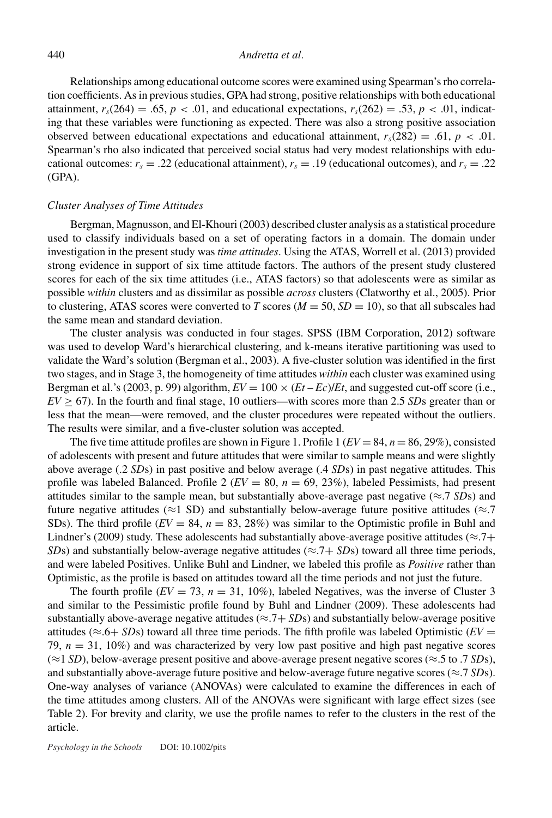### 440 *Andretta et al.*

Relationships among educational outcome scores were examined using Spearman's rho correlation coefficients. As in previous studies, GPA had strong, positive relationships with both educational attainment,  $r_s(264) = .65$ ,  $p < .01$ , and educational expectations,  $r_s(262) = .53$ ,  $p < .01$ , indicating that these variables were functioning as expected. There was also a strong positive association observed between educational expectations and educational attainment,  $r_s(282) = .61$ ,  $p < .01$ . Spearman's rho also indicated that perceived social status had very modest relationships with educational outcomes:  $r_s = .22$  (educational attainment),  $r_s = .19$  (educational outcomes), and  $r_s = .22$  $(GPA)$ .

## *Cluster Analyses of Time Attitudes*

Bergman, Magnusson, and El-Khouri (2003) described cluster analysis as a statistical procedure used to classify individuals based on a set of operating factors in a domain. The domain under investigation in the present study was *time attitudes*. Using the ATAS, Worrell et al. (2013) provided strong evidence in support of six time attitude factors. The authors of the present study clustered scores for each of the six time attitudes (i.e., ATAS factors) so that adolescents were as similar as possible *within* clusters and as dissimilar as possible *across* clusters (Clatworthy et al., 2005). Prior to clustering, ATAS scores were converted to *T* scores ( $M = 50$ ,  $SD = 10$ ), so that all subscales had the same mean and standard deviation.

The cluster analysis was conducted in four stages. SPSS (IBM Corporation, 2012) software was used to develop Ward's hierarchical clustering, and k-means iterative partitioning was used to validate the Ward's solution (Bergman et al., 2003). A five-cluster solution was identified in the first two stages, and in Stage 3, the homogeneity of time attitudes *within* each cluster was examined using Bergman et al.'s (2003, p. 99) algorithm,  $EV = 100 \times (Et - Ec)/Et$ , and suggested cut-off score (i.e.,  $EV \ge 67$ ). In the fourth and final stage, 10 outliers—with scores more than 2.5 *SDs* greater than or less that the mean—were removed, and the cluster procedures were repeated without the outliers. The results were similar, and a five-cluster solution was accepted.

The five time attitude profiles are shown in Figure 1. Profile  $1 (EV = 84, n = 86, 29\%)$ , consisted of adolescents with present and future attitudes that were similar to sample means and were slightly above average (.2 *SD*s) in past positive and below average (.4 *SD*s) in past negative attitudes. This profile was labeled Balanced. Profile 2 (*EV* = 80, *n* = 69, 23%), labeled Pessimists, had present attitudes similar to the sample mean, but substantially above-average past negative ( $\approx$ .7 *SD*s) and future negative attitudes ( $\approx$ 1 SD) and substantially below-average future positive attitudes ( $\approx$ .7 SDs). The third profile  $(EV = 84, n = 83, 28%)$  was similar to the Optimistic profile in Buhl and Lindner's (2009) study. These adolescents had substantially above-average positive attitudes ( $\approx$ .7+ *SDs*) and substantially below-average negative attitudes ( $\approx$ .7+ *SDs*) toward all three time periods, and were labeled Positives. Unlike Buhl and Lindner, we labeled this profile as *Positive* rather than Optimistic, as the profile is based on attitudes toward all the time periods and not just the future.

The fourth profile  $(EV = 73, n = 31, 10\%)$ , labeled Negatives, was the inverse of Cluster 3 and similar to the Pessimistic profile found by Buhl and Lindner (2009). These adolescents had substantially above-average negative attitudes ( $\approx$ .7+ *SD*s) and substantially below-average positive attitudes ( $\approx$ .6+ *SDs*) toward all three time periods. The fifth profile was labeled Optimistic ( $EV =$ 79,  $n = 31$ , 10%) and was characterized by very low past positive and high past negative scores (≈1 *SD*), below-average present positive and above-average present negative scores (≈.5 to .7 *SD*s), and substantially above-average future positive and below-average future negative scores ( $\approx$ .7 *SDs*). One-way analyses of variance (ANOVAs) were calculated to examine the differences in each of the time attitudes among clusters. All of the ANOVAs were significant with large effect sizes (see Table 2). For brevity and clarity, we use the profile names to refer to the clusters in the rest of the article.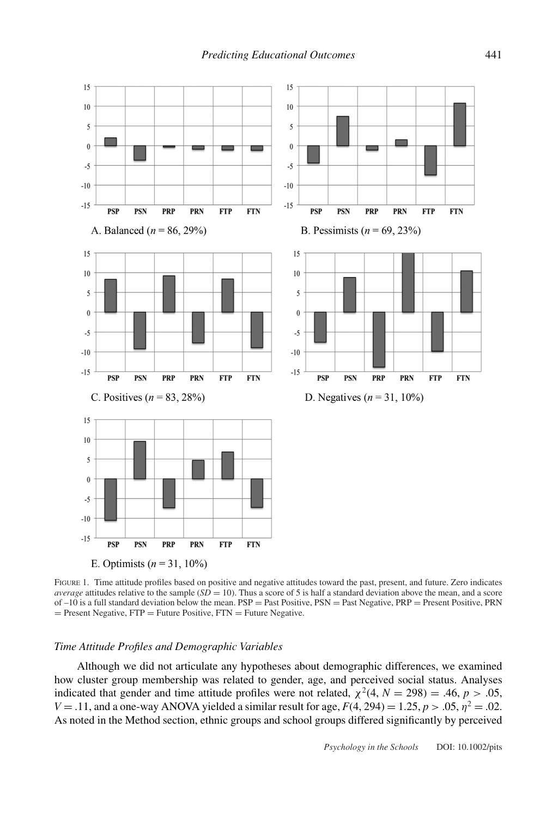

FIGURE 1. Time attitude profiles based on positive and negative attitudes toward the past, present, and future. Zero indicates *average* attitudes relative to the sample  $(SD = 10)$ . Thus a score of 5 is half a standard deviation above the mean, and a score of  $-10$  is a full standard deviation below the mean.  $PSP =$  Past Positive,  $PSN =$  Past Negative,  $PRP =$  Present Positive, PRN  $=$  Present Negative, FTP  $=$  Future Positive, FTN  $=$  Future Negative.

#### *Time Attitude Profiles and Demographic Variables*

Although we did not articulate any hypotheses about demographic differences, we examined how cluster group membership was related to gender, age, and perceived social status. Analyses indicated that gender and time attitude profiles were not related,  $\chi^2(4, N = 298) = .46, p > .05,$ *V* = .11, and a one-way ANOVA yielded a similar result for age,  $F(4, 294) = 1.25$ ,  $p > .05$ ,  $\eta^2 = .02$ . As noted in the Method section, ethnic groups and school groups differed significantly by perceived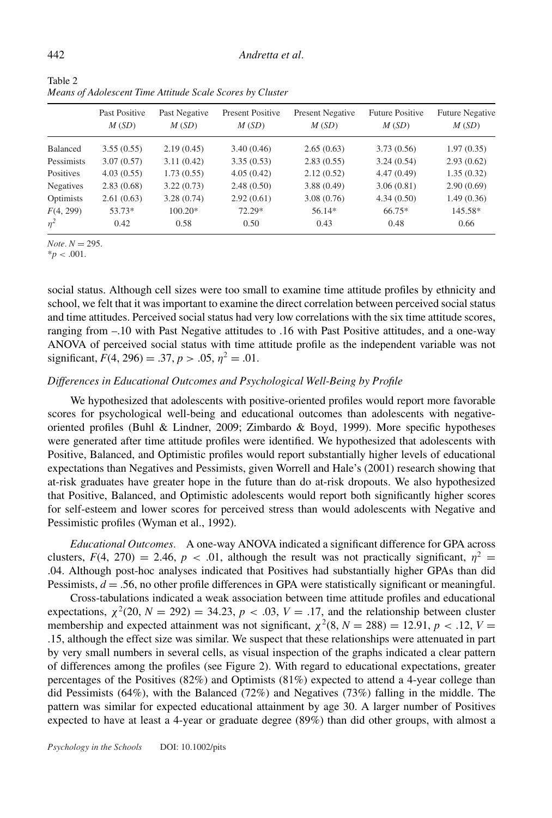|            | Past Positive<br>M(SD) | Past Negative<br>M(SD) | <b>Present Positive</b><br>M(SD) | <b>Present Negative</b><br>M(SD) | <b>Future Positive</b><br>M(SD) | <b>Future Negative</b><br>M(SD) |  |  |
|------------|------------------------|------------------------|----------------------------------|----------------------------------|---------------------------------|---------------------------------|--|--|
| Balanced   | 3.55(0.55)             | 2.19(0.45)             | 3.40(0.46)                       | 2.65(0.63)                       | 3.73(0.56)                      | 1.97(0.35)                      |  |  |
| Pessimists | 3.07(0.57)             | 3.11(0.42)             | 3.35(0.53)                       | 2.83(0.55)                       | 3.24(0.54)                      | 2.93(0.62)                      |  |  |
| Positives  | 4.03(0.55)             | 1.73(0.55)             | 4.05(0.42)                       | 2.12(0.52)                       | 4.47(0.49)                      | 1.35(0.32)                      |  |  |
| Negatives  | 2.83(0.68)             | 3.22(0.73)             | 2.48(0.50)                       | 3.88(0.49)                       | 3.06(0.81)                      | 2.90(0.69)                      |  |  |
| Optimists  | 2.61(0.63)             | 3.28(0.74)             | 2.92(0.61)                       | 3.08(0.76)                       | 4.34(0.50)                      | 1.49(0.36)                      |  |  |
| F(4, 299)  | 53.73*                 | $100.20*$              | 72.29*                           | 56.14*                           | $66.75*$                        | 145.58*                         |  |  |
| $\eta^2$   | 0.42                   | 0.58                   | 0.50                             | 0.43                             | 0.48                            | 0.66                            |  |  |

Table 2 *Means of Adolescent Time Attitude Scale Scores by Cluster*

 $Note. N = 295.$ 

 $*_{p}$  < .001.

social status. Although cell sizes were too small to examine time attitude profiles by ethnicity and school, we felt that it was important to examine the direct correlation between perceived social status and time attitudes. Perceived social status had very low correlations with the six time attitude scores, ranging from –.10 with Past Negative attitudes to .16 with Past Positive attitudes, and a one-way ANOVA of perceived social status with time attitude profile as the independent variable was not significant,  $F(4, 296) = .37, p > .05, \eta^2 = .01$ .

# *Differences in Educational Outcomes and Psychological Well-Being by Profile*

We hypothesized that adolescents with positive-oriented profiles would report more favorable scores for psychological well-being and educational outcomes than adolescents with negativeoriented profiles (Buhl & Lindner, 2009; Zimbardo & Boyd, 1999). More specific hypotheses were generated after time attitude profiles were identified. We hypothesized that adolescents with Positive, Balanced, and Optimistic profiles would report substantially higher levels of educational expectations than Negatives and Pessimists, given Worrell and Hale's (2001) research showing that at-risk graduates have greater hope in the future than do at-risk dropouts. We also hypothesized that Positive, Balanced, and Optimistic adolescents would report both significantly higher scores for self-esteem and lower scores for perceived stress than would adolescents with Negative and Pessimistic profiles (Wyman et al., 1992).

*Educational Outcomes.* A one-way ANOVA indicated a significant difference for GPA across clusters,  $F(4, 270) = 2.46$ ,  $p < .01$ , although the result was not practically significant,  $\eta^2 =$ .04. Although post-hoc analyses indicated that Positives had substantially higher GPAs than did Pessimists,  $d = 0.56$ , no other profile differences in GPA were statistically significant or meaningful.

Cross-tabulations indicated a weak association between time attitude profiles and educational expectations,  $\chi^2(20, N = 292) = 34.23, p < .03, V = .17$ , and the relationship between cluster membership and expected attainment was not significant,  $\chi^2(8, N = 288) = 12.91, p < .12, V =$ .15, although the effect size was similar. We suspect that these relationships were attenuated in part by very small numbers in several cells, as visual inspection of the graphs indicated a clear pattern of differences among the profiles (see Figure 2). With regard to educational expectations, greater percentages of the Positives (82%) and Optimists (81%) expected to attend a 4-year college than did Pessimists (64%), with the Balanced (72%) and Negatives (73%) falling in the middle. The pattern was similar for expected educational attainment by age 30. A larger number of Positives expected to have at least a 4-year or graduate degree (89%) than did other groups, with almost a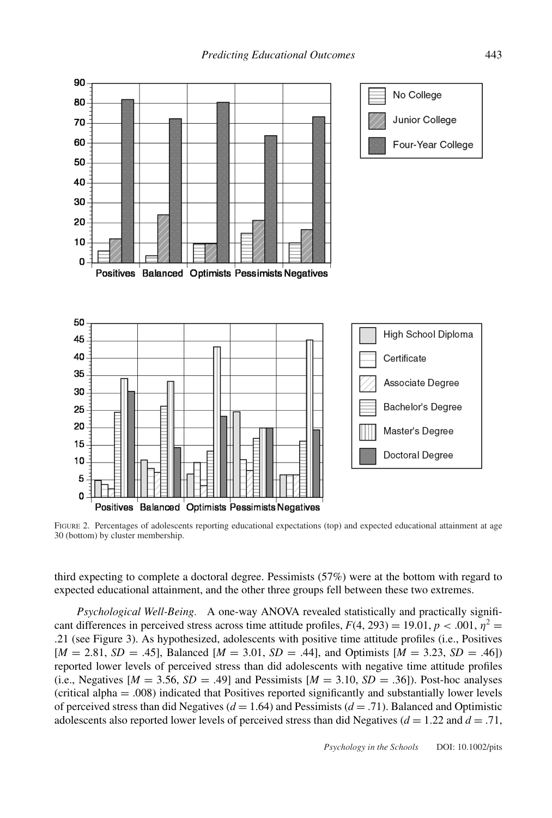

FIGURE 2. Percentages of adolescents reporting educational expectations (top) and expected educational attainment at age 30 (bottom) by cluster membership.

third expecting to complete a doctoral degree. Pessimists (57%) were at the bottom with regard to expected educational attainment, and the other three groups fell between these two extremes.

*Psychological Well-Being.* A one-way ANOVA revealed statistically and practically significant differences in perceived stress across time attitude profiles,  $F(4, 293) = 19.01$ ,  $p < .001$ ,  $\eta^2 =$ .21 (see Figure 3). As hypothesized, adolescents with positive time attitude profiles (i.e., Positives  $[M = 2.81, SD = .45]$ , Balanced  $[M = 3.01, SD = .44]$ , and Optimists  $[M = 3.23, SD = .46]$ reported lower levels of perceived stress than did adolescents with negative time attitude profiles (i.e., Negatives  $[M = 3.56, SD = .49]$  and Pessimists  $[M = 3.10, SD = .36]$ ). Post-hoc analyses (critical alpha = .008) indicated that Positives reported significantly and substantially lower levels of perceived stress than did Negatives (*d* = 1.64) and Pessimists (*d* = .71). Balanced and Optimistic adolescents also reported lower levels of perceived stress than did Negatives ( $d = 1.22$  and  $d = .71$ ,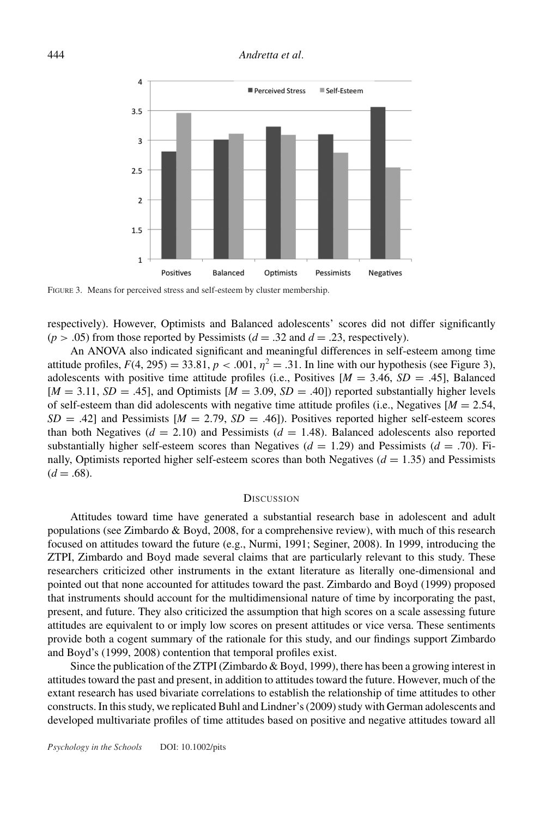

FIGURE 3. Means for perceived stress and self-esteem by cluster membership.

respectively). However, Optimists and Balanced adolescents' scores did not differ significantly  $(p > .05)$  from those reported by Pessimists ( $d = .32$  and  $d = .23$ , respectively).

An ANOVA also indicated significant and meaningful differences in self-esteem among time attitude profiles,  $F(4, 295) = 33.81$ ,  $p < .001$ ,  $n^2 = .31$ . In line with our hypothesis (see Figure 3), adolescents with positive time attitude profiles (i.e., Positives  $[M = 3.46, SD = .45]$ , Balanced  $[M = 3.11, SD = .45]$ , and Optimists  $[M = 3.09, SD = .40]$  reported substantially higher levels of self-esteem than did adolescents with negative time attitude profiles (i.e., Negatives  $[M = 2.54]$ ,  $SD = .42$ ] and Pessimists  $[M = 2.79, SD = .46]$ ). Positives reported higher self-esteem scores than both Negatives  $(d = 2.10)$  and Pessimists  $(d = 1.48)$ . Balanced adolescents also reported substantially higher self-esteem scores than Negatives ( $d = 1.29$ ) and Pessimists ( $d = .70$ ). Finally, Optimists reported higher self-esteem scores than both Negatives  $(d = 1.35)$  and Pessimists  $(d = .68)$ .

### **DISCUSSION**

Attitudes toward time have generated a substantial research base in adolescent and adult populations (see Zimbardo & Boyd, 2008, for a comprehensive review), with much of this research focused on attitudes toward the future (e.g., Nurmi, 1991; Seginer, 2008). In 1999, introducing the ZTPI, Zimbardo and Boyd made several claims that are particularly relevant to this study. These researchers criticized other instruments in the extant literature as literally one-dimensional and pointed out that none accounted for attitudes toward the past. Zimbardo and Boyd (1999) proposed that instruments should account for the multidimensional nature of time by incorporating the past, present, and future. They also criticized the assumption that high scores on a scale assessing future attitudes are equivalent to or imply low scores on present attitudes or vice versa. These sentiments provide both a cogent summary of the rationale for this study, and our findings support Zimbardo and Boyd's (1999, 2008) contention that temporal profiles exist.

Since the publication of the ZTPI (Zimbardo & Boyd, 1999), there has been a growing interest in attitudes toward the past and present, in addition to attitudes toward the future. However, much of the extant research has used bivariate correlations to establish the relationship of time attitudes to other constructs. In this study, we replicated Buhl and Lindner's (2009) study with German adolescents and developed multivariate profiles of time attitudes based on positive and negative attitudes toward all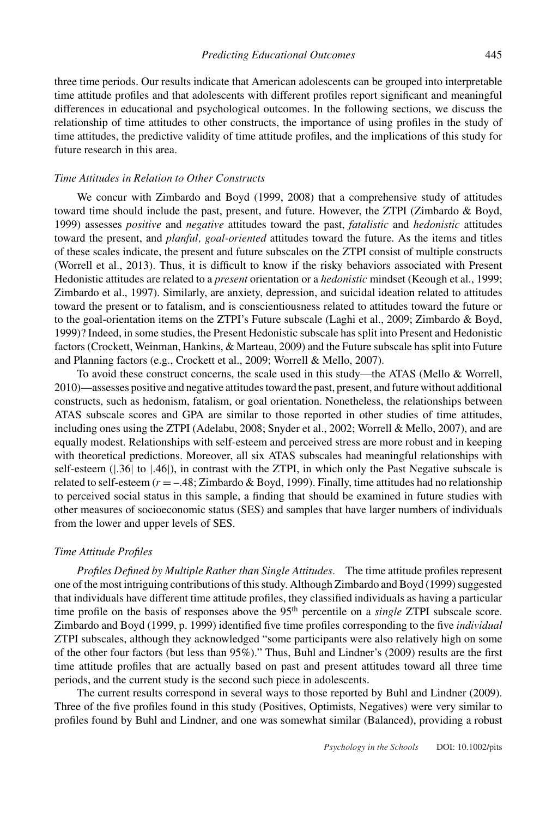three time periods. Our results indicate that American adolescents can be grouped into interpretable time attitude profiles and that adolescents with different profiles report significant and meaningful differences in educational and psychological outcomes. In the following sections, we discuss the relationship of time attitudes to other constructs, the importance of using profiles in the study of time attitudes, the predictive validity of time attitude profiles, and the implications of this study for future research in this area.

### *Time Attitudes in Relation to Other Constructs*

We concur with Zimbardo and Boyd (1999, 2008) that a comprehensive study of attitudes toward time should include the past, present, and future. However, the ZTPI (Zimbardo & Boyd, 1999) assesses *positive* and *negative* attitudes toward the past, *fatalistic* and *hedonistic* attitudes toward the present, and *planful, goal-oriented* attitudes toward the future. As the items and titles of these scales indicate, the present and future subscales on the ZTPI consist of multiple constructs (Worrell et al., 2013). Thus, it is difficult to know if the risky behaviors associated with Present Hedonistic attitudes are related to a *present* orientation or a *hedonistic* mindset (Keough et al., 1999; Zimbardo et al., 1997). Similarly, are anxiety, depression, and suicidal ideation related to attitudes toward the present or to fatalism, and is conscientiousness related to attitudes toward the future or to the goal-orientation items on the ZTPI's Future subscale (Laghi et al., 2009; Zimbardo & Boyd, 1999)? Indeed, in some studies, the Present Hedonistic subscale has split into Present and Hedonistic factors (Crockett, Weinman, Hankins, & Marteau, 2009) and the Future subscale has split into Future and Planning factors (e.g., Crockett et al., 2009; Worrell & Mello, 2007).

To avoid these construct concerns, the scale used in this study—the ATAS (Mello & Worrell, 2010)—assesses positive and negative attitudes toward the past, present, and future without additional constructs, such as hedonism, fatalism, or goal orientation. Nonetheless, the relationships between ATAS subscale scores and GPA are similar to those reported in other studies of time attitudes, including ones using the ZTPI (Adelabu, 2008; Snyder et al., 2002; Worrell & Mello, 2007), and are equally modest. Relationships with self-esteem and perceived stress are more robust and in keeping with theoretical predictions. Moreover, all six ATAS subscales had meaningful relationships with self-esteem ( $|.36|$  to  $|.46|$ ), in contrast with the ZTPI, in which only the Past Negative subscale is related to self-esteem  $(r = -.48; Zimbardo & Boyd, 1999)$ . Finally, time attitudes had no relationship to perceived social status in this sample, a finding that should be examined in future studies with other measures of socioeconomic status (SES) and samples that have larger numbers of individuals from the lower and upper levels of SES.

#### *Time Attitude Profiles*

*Profiles Defined by Multiple Rather than Single Attitudes.* The time attitude profiles represent one of the most intriguing contributions of this study. Although Zimbardo and Boyd (1999) suggested that individuals have different time attitude profiles, they classified individuals as having a particular time profile on the basis of responses above the 95<sup>th</sup> percentile on a *single* ZTPI subscale score. Zimbardo and Boyd (1999, p. 1999) identified five time profiles corresponding to the five *individual* ZTPI subscales, although they acknowledged "some participants were also relatively high on some of the other four factors (but less than 95%)." Thus, Buhl and Lindner's (2009) results are the first time attitude profiles that are actually based on past and present attitudes toward all three time periods, and the current study is the second such piece in adolescents.

The current results correspond in several ways to those reported by Buhl and Lindner (2009). Three of the five profiles found in this study (Positives, Optimists, Negatives) were very similar to profiles found by Buhl and Lindner, and one was somewhat similar (Balanced), providing a robust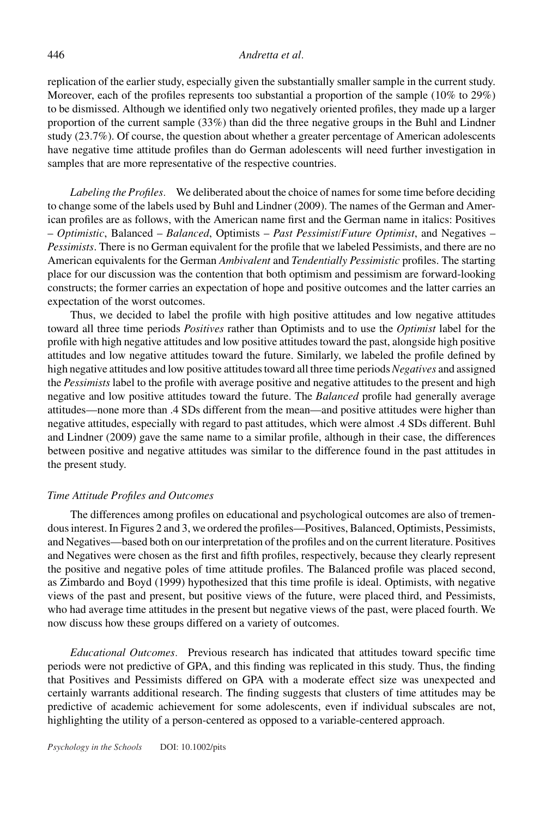### 446 *Andretta et al.*

replication of the earlier study, especially given the substantially smaller sample in the current study. Moreover, each of the profiles represents too substantial a proportion of the sample (10% to 29%) to be dismissed. Although we identified only two negatively oriented profiles, they made up a larger proportion of the current sample (33%) than did the three negative groups in the Buhl and Lindner study (23.7%). Of course, the question about whether a greater percentage of American adolescents have negative time attitude profiles than do German adolescents will need further investigation in samples that are more representative of the respective countries.

*Labeling the Profiles.* We deliberated about the choice of names for some time before deciding to change some of the labels used by Buhl and Lindner (2009). The names of the German and American profiles are as follows, with the American name first and the German name in italics: Positives – *Optimistic*, Balanced – *Balanced*, Optimists – *Past Pessimist/Future Optimist*, and Negatives – *Pessimists*. There is no German equivalent for the profile that we labeled Pessimists, and there are no American equivalents for the German *Ambivalent* and *Tendentially Pessimistic* profiles. The starting place for our discussion was the contention that both optimism and pessimism are forward-looking constructs; the former carries an expectation of hope and positive outcomes and the latter carries an expectation of the worst outcomes.

Thus, we decided to label the profile with high positive attitudes and low negative attitudes toward all three time periods *Positives* rather than Optimists and to use the *Optimist* label for the profile with high negative attitudes and low positive attitudes toward the past, alongside high positive attitudes and low negative attitudes toward the future. Similarly, we labeled the profile defined by high negative attitudes and low positive attitudes toward all three time periods *Negatives* and assigned the *Pessimists* label to the profile with average positive and negative attitudes to the present and high negative and low positive attitudes toward the future. The *Balanced* profile had generally average attitudes—none more than .4 SDs different from the mean—and positive attitudes were higher than negative attitudes, especially with regard to past attitudes, which were almost .4 SDs different. Buhl and Lindner (2009) gave the same name to a similar profile, although in their case, the differences between positive and negative attitudes was similar to the difference found in the past attitudes in the present study.

## *Time Attitude Profiles and Outcomes*

The differences among profiles on educational and psychological outcomes are also of tremendous interest. In Figures 2 and 3, we ordered the profiles—Positives, Balanced, Optimists, Pessimists, and Negatives—based both on our interpretation of the profiles and on the current literature. Positives and Negatives were chosen as the first and fifth profiles, respectively, because they clearly represent the positive and negative poles of time attitude profiles. The Balanced profile was placed second, as Zimbardo and Boyd (1999) hypothesized that this time profile is ideal. Optimists, with negative views of the past and present, but positive views of the future, were placed third, and Pessimists, who had average time attitudes in the present but negative views of the past, were placed fourth. We now discuss how these groups differed on a variety of outcomes.

*Educational Outcomes.* Previous research has indicated that attitudes toward specific time periods were not predictive of GPA, and this finding was replicated in this study. Thus, the finding that Positives and Pessimists differed on GPA with a moderate effect size was unexpected and certainly warrants additional research. The finding suggests that clusters of time attitudes may be predictive of academic achievement for some adolescents, even if individual subscales are not, highlighting the utility of a person-centered as opposed to a variable-centered approach.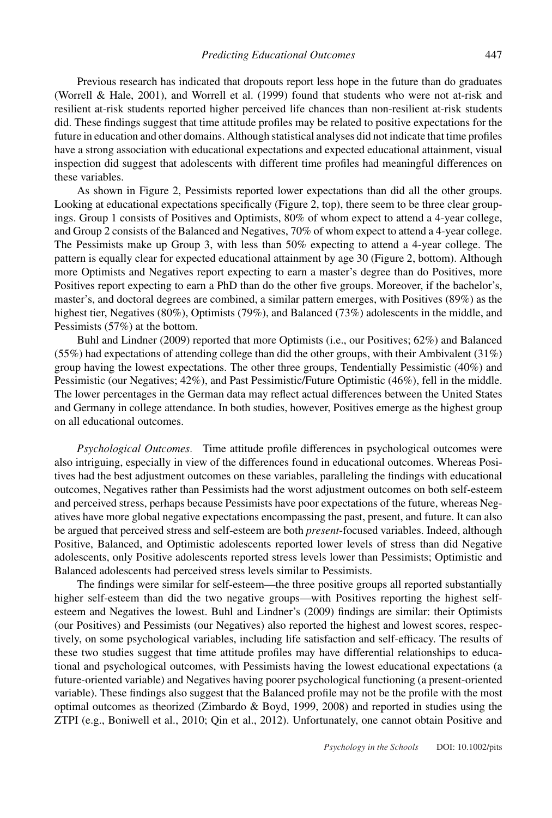Previous research has indicated that dropouts report less hope in the future than do graduates (Worrell & Hale, 2001), and Worrell et al. (1999) found that students who were not at-risk and resilient at-risk students reported higher perceived life chances than non-resilient at-risk students did. These findings suggest that time attitude profiles may be related to positive expectations for the future in education and other domains. Although statistical analyses did not indicate that time profiles have a strong association with educational expectations and expected educational attainment, visual inspection did suggest that adolescents with different time profiles had meaningful differences on these variables.

As shown in Figure 2, Pessimists reported lower expectations than did all the other groups. Looking at educational expectations specifically (Figure 2, top), there seem to be three clear groupings. Group 1 consists of Positives and Optimists, 80% of whom expect to attend a 4-year college, and Group 2 consists of the Balanced and Negatives, 70% of whom expect to attend a 4-year college. The Pessimists make up Group 3, with less than 50% expecting to attend a 4-year college. The pattern is equally clear for expected educational attainment by age 30 (Figure 2, bottom). Although more Optimists and Negatives report expecting to earn a master's degree than do Positives, more Positives report expecting to earn a PhD than do the other five groups. Moreover, if the bachelor's, master's, and doctoral degrees are combined, a similar pattern emerges, with Positives (89%) as the highest tier, Negatives (80%), Optimists (79%), and Balanced (73%) adolescents in the middle, and Pessimists (57%) at the bottom.

Buhl and Lindner (2009) reported that more Optimists (i.e., our Positives; 62%) and Balanced (55%) had expectations of attending college than did the other groups, with their Ambivalent (31%) group having the lowest expectations. The other three groups, Tendentially Pessimistic (40%) and Pessimistic (our Negatives; 42%), and Past Pessimistic/Future Optimistic (46%), fell in the middle. The lower percentages in the German data may reflect actual differences between the United States and Germany in college attendance. In both studies, however, Positives emerge as the highest group on all educational outcomes.

*Psychological Outcomes.* Time attitude profile differences in psychological outcomes were also intriguing, especially in view of the differences found in educational outcomes. Whereas Positives had the best adjustment outcomes on these variables, paralleling the findings with educational outcomes, Negatives rather than Pessimists had the worst adjustment outcomes on both self-esteem and perceived stress, perhaps because Pessimists have poor expectations of the future, whereas Negatives have more global negative expectations encompassing the past, present, and future. It can also be argued that perceived stress and self-esteem are both *present*-focused variables. Indeed, although Positive, Balanced, and Optimistic adolescents reported lower levels of stress than did Negative adolescents, only Positive adolescents reported stress levels lower than Pessimists; Optimistic and Balanced adolescents had perceived stress levels similar to Pessimists.

The findings were similar for self-esteem—the three positive groups all reported substantially higher self-esteem than did the two negative groups—with Positives reporting the highest selfesteem and Negatives the lowest. Buhl and Lindner's (2009) findings are similar: their Optimists (our Positives) and Pessimists (our Negatives) also reported the highest and lowest scores, respectively, on some psychological variables, including life satisfaction and self-efficacy. The results of these two studies suggest that time attitude profiles may have differential relationships to educational and psychological outcomes, with Pessimists having the lowest educational expectations (a future-oriented variable) and Negatives having poorer psychological functioning (a present-oriented variable). These findings also suggest that the Balanced profile may not be the profile with the most optimal outcomes as theorized (Zimbardo & Boyd, 1999, 2008) and reported in studies using the ZTPI (e.g., Boniwell et al., 2010; Qin et al., 2012). Unfortunately, one cannot obtain Positive and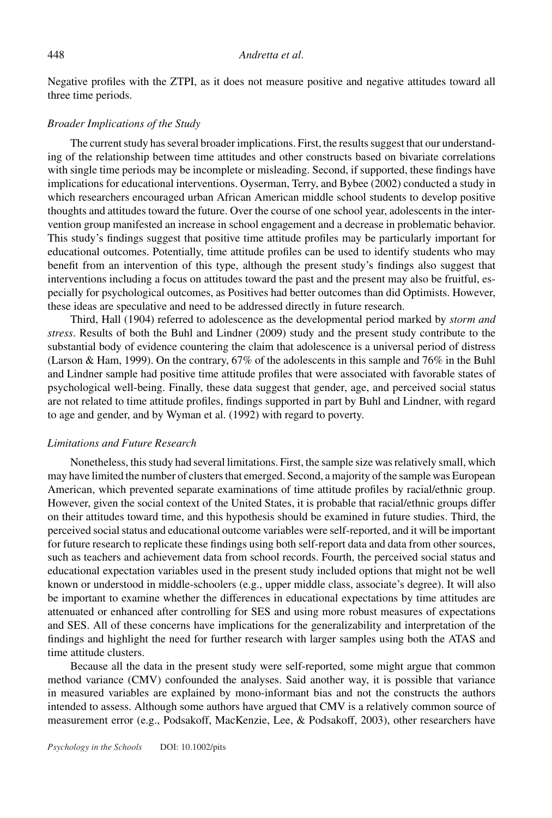Negative profiles with the ZTPI, as it does not measure positive and negative attitudes toward all three time periods.

### *Broader Implications of the Study*

The current study has several broader implications. First, the results suggest that our understanding of the relationship between time attitudes and other constructs based on bivariate correlations with single time periods may be incomplete or misleading. Second, if supported, these findings have implications for educational interventions. Oyserman, Terry, and Bybee (2002) conducted a study in which researchers encouraged urban African American middle school students to develop positive thoughts and attitudes toward the future. Over the course of one school year, adolescents in the intervention group manifested an increase in school engagement and a decrease in problematic behavior. This study's findings suggest that positive time attitude profiles may be particularly important for educational outcomes. Potentially, time attitude profiles can be used to identify students who may benefit from an intervention of this type, although the present study's findings also suggest that interventions including a focus on attitudes toward the past and the present may also be fruitful, especially for psychological outcomes, as Positives had better outcomes than did Optimists. However, these ideas are speculative and need to be addressed directly in future research.

Third, Hall (1904) referred to adolescence as the developmental period marked by *storm and stress*. Results of both the Buhl and Lindner (2009) study and the present study contribute to the substantial body of evidence countering the claim that adolescence is a universal period of distress (Larson & Ham, 1999). On the contrary, 67% of the adolescents in this sample and 76% in the Buhl and Lindner sample had positive time attitude profiles that were associated with favorable states of psychological well-being. Finally, these data suggest that gender, age, and perceived social status are not related to time attitude profiles, findings supported in part by Buhl and Lindner, with regard to age and gender, and by Wyman et al. (1992) with regard to poverty.

### *Limitations and Future Research*

Nonetheless, this study had several limitations. First, the sample size was relatively small, which may have limited the number of clusters that emerged. Second, a majority of the sample was European American, which prevented separate examinations of time attitude profiles by racial/ethnic group. However, given the social context of the United States, it is probable that racial/ethnic groups differ on their attitudes toward time, and this hypothesis should be examined in future studies. Third, the perceived social status and educational outcome variables were self-reported, and it will be important for future research to replicate these findings using both self-report data and data from other sources, such as teachers and achievement data from school records. Fourth, the perceived social status and educational expectation variables used in the present study included options that might not be well known or understood in middle-schoolers (e.g., upper middle class, associate's degree). It will also be important to examine whether the differences in educational expectations by time attitudes are attenuated or enhanced after controlling for SES and using more robust measures of expectations and SES. All of these concerns have implications for the generalizability and interpretation of the findings and highlight the need for further research with larger samples using both the ATAS and time attitude clusters.

Because all the data in the present study were self-reported, some might argue that common method variance (CMV) confounded the analyses. Said another way, it is possible that variance in measured variables are explained by mono-informant bias and not the constructs the authors intended to assess. Although some authors have argued that CMV is a relatively common source of measurement error (e.g., Podsakoff, MacKenzie, Lee, & Podsakoff, 2003), other researchers have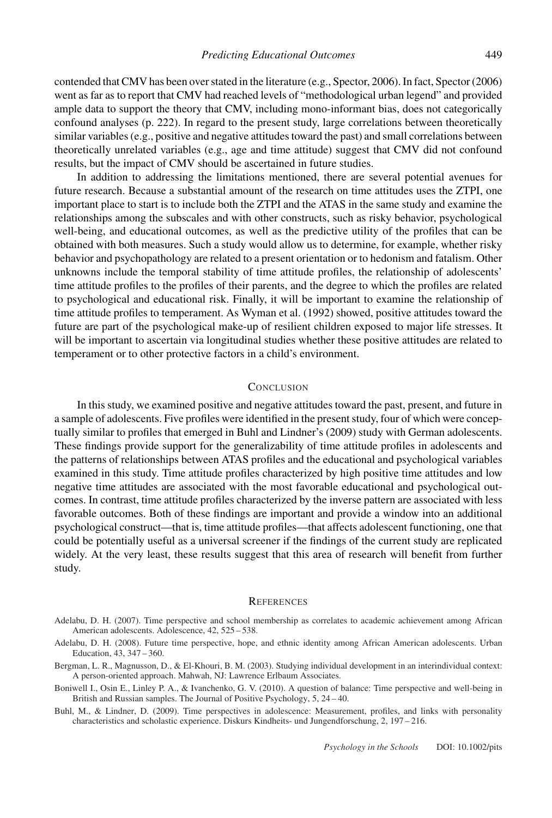contended that CMV has been over stated in the literature (e.g., Spector, 2006). In fact, Spector (2006) went as far as to report that CMV had reached levels of "methodological urban legend" and provided ample data to support the theory that CMV, including mono-informant bias, does not categorically confound analyses (p. 222). In regard to the present study, large correlations between theoretically similar variables (e.g., positive and negative attitudes toward the past) and small correlations between theoretically unrelated variables (e.g., age and time attitude) suggest that CMV did not confound results, but the impact of CMV should be ascertained in future studies.

In addition to addressing the limitations mentioned, there are several potential avenues for future research. Because a substantial amount of the research on time attitudes uses the ZTPI, one important place to start is to include both the ZTPI and the ATAS in the same study and examine the relationships among the subscales and with other constructs, such as risky behavior, psychological well-being, and educational outcomes, as well as the predictive utility of the profiles that can be obtained with both measures. Such a study would allow us to determine, for example, whether risky behavior and psychopathology are related to a present orientation or to hedonism and fatalism. Other unknowns include the temporal stability of time attitude profiles, the relationship of adolescents' time attitude profiles to the profiles of their parents, and the degree to which the profiles are related to psychological and educational risk. Finally, it will be important to examine the relationship of time attitude profiles to temperament. As Wyman et al. (1992) showed, positive attitudes toward the future are part of the psychological make-up of resilient children exposed to major life stresses. It will be important to ascertain via longitudinal studies whether these positive attitudes are related to temperament or to other protective factors in a child's environment.

# **CONCLUSION**

In this study, we examined positive and negative attitudes toward the past, present, and future in a sample of adolescents. Five profiles were identified in the present study, four of which were conceptually similar to profiles that emerged in Buhl and Lindner's (2009) study with German adolescents. These findings provide support for the generalizability of time attitude profiles in adolescents and the patterns of relationships between ATAS profiles and the educational and psychological variables examined in this study. Time attitude profiles characterized by high positive time attitudes and low negative time attitudes are associated with the most favorable educational and psychological outcomes. In contrast, time attitude profiles characterized by the inverse pattern are associated with less favorable outcomes. Both of these findings are important and provide a window into an additional psychological construct—that is, time attitude profiles—that affects adolescent functioning, one that could be potentially useful as a universal screener if the findings of the current study are replicated widely. At the very least, these results suggest that this area of research will benefit from further study.

#### **REFERENCES**

- Adelabu, D. H. (2007). Time perspective and school membership as correlates to academic achievement among African American adolescents. Adolescence, 42, 525 – 538.
- Adelabu, D. H. (2008). Future time perspective, hope, and ethnic identity among African American adolescents. Urban Education, 43, 347 – 360.
- Bergman, L. R., Magnusson, D., & El-Khouri, B. M. (2003). Studying individual development in an interindividual context: A person-oriented approach. Mahwah, NJ: Lawrence Erlbaum Associates.
- Boniwell I., Osin E., Linley P. A., & Ivanchenko, G. V. (2010). A question of balance: Time perspective and well-being in British and Russian samples. The Journal of Positive Psychology, 5, 24 – 40.

Buhl, M., & Lindner, D. (2009). Time perspectives in adolescence: Measurement, profiles, and links with personality characteristics and scholastic experience. Diskurs Kindheits- und Jungendforschung, 2, 197 – 216.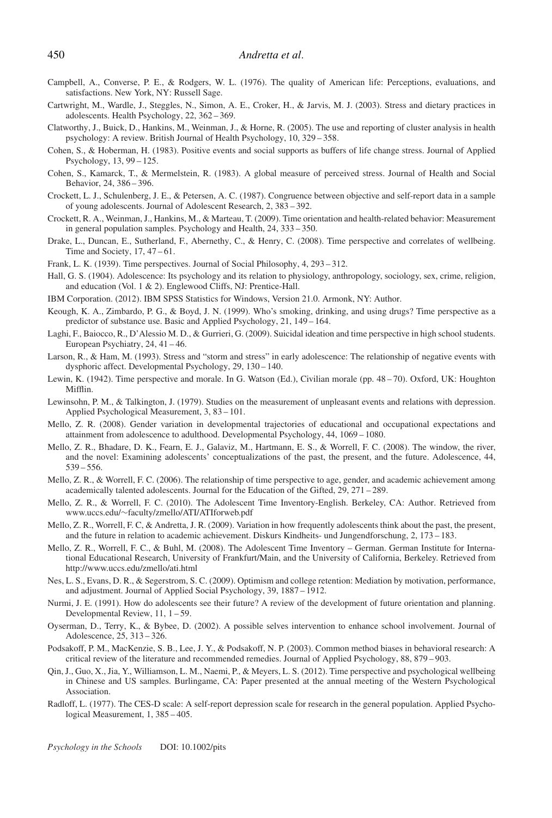- Campbell, A., Converse, P. E., & Rodgers, W. L. (1976). The quality of American life: Perceptions, evaluations, and satisfactions. New York, NY: Russell Sage.
- Cartwright, M., Wardle, J., Steggles, N., Simon, A. E., Croker, H., & Jarvis, M. J. (2003). Stress and dietary practices in adolescents. Health Psychology, 22, 362 – 369.
- Clatworthy, J., Buick, D., Hankins, M., Weinman, J., & Horne, R. (2005). The use and reporting of cluster analysis in health psychology: A review. British Journal of Health Psychology, 10, 329 – 358.
- Cohen, S., & Hoberman, H. (1983). Positive events and social supports as buffers of life change stress. Journal of Applied Psychology, 13, 99 – 125.
- Cohen, S., Kamarck, T., & Mermelstein, R. (1983). A global measure of perceived stress. Journal of Health and Social Behavior, 24, 386 – 396.
- Crockett, L. J., Schulenberg, J. E., & Petersen, A. C. (1987). Congruence between objective and self-report data in a sample of young adolescents. Journal of Adolescent Research, 2, 383 – 392.
- Crockett, R. A., Weinman, J., Hankins, M., & Marteau, T. (2009). Time orientation and health-related behavior: Measurement in general population samples. Psychology and Health, 24, 333 – 350.
- Drake, L., Duncan, E., Sutherland, F., Abernethy, C., & Henry, C. (2008). Time perspective and correlates of wellbeing. Time and Society,  $17, 47 - 61$ .
- Frank, L. K. (1939). Time perspectives. Journal of Social Philosophy, 4, 293 312.
- Hall, G. S. (1904). Adolescence: Its psychology and its relation to physiology, anthropology, sociology, sex, crime, religion, and education (Vol. 1 & 2). Englewood Cliffs, NJ: Prentice-Hall.
- IBM Corporation. (2012). IBM SPSS Statistics for Windows, Version 21.0. Armonk, NY: Author.
- Keough, K. A., Zimbardo, P. G., & Boyd, J. N. (1999). Who's smoking, drinking, and using drugs? Time perspective as a predictor of substance use. Basic and Applied Psychology, 21, 149 – 164.
- Laghi, F., Baiocco, R., D'Alessio M. D., & Gurrieri, G. (2009). Suicidal ideation and time perspective in high school students. European Psychiatry, 24, 41 – 46.
- Larson, R., & Ham, M. (1993). Stress and "storm and stress" in early adolescence: The relationship of negative events with dysphoric affect. Developmental Psychology, 29, 130 – 140.
- Lewin, K. (1942). Time perspective and morale. In G. Watson (Ed.), Civilian morale (pp. 48 70). Oxford, UK: Houghton Mifflin.
- Lewinsohn, P. M., & Talkington, J. (1979). Studies on the measurement of unpleasant events and relations with depression. Applied Psychological Measurement, 3, 83 – 101.
- Mello, Z. R. (2008). Gender variation in developmental trajectories of educational and occupational expectations and attainment from adolescence to adulthood. Developmental Psychology, 44, 1069 – 1080.
- Mello, Z. R., Bhadare, D. K., Fearn, E. J., Galaviz, M., Hartmann, E. S., & Worrell, F. C. (2008). The window, the river, and the novel: Examining adolescents' conceptualizations of the past, the present, and the future. Adolescence, 44, 539 – 556.
- Mello, Z. R., & Worrell, F. C. (2006). The relationship of time perspective to age, gender, and academic achievement among academically talented adolescents. Journal for the Education of the Gifted, 29, 271 – 289.
- Mello, Z. R., & Worrell, F. C. (2010). The Adolescent Time Inventory-English. Berkeley, CA: Author. Retrieved from www.uccs.edu/∼faculty/zmello/ATI/ATIforweb.pdf
- Mello, Z. R., Worrell, F. C, & Andretta, J. R. (2009). Variation in how frequently adolescents think about the past, the present, and the future in relation to academic achievement. Diskurs Kindheits- und Jungendforschung, 2, 173 – 183.
- Mello, Z. R., Worrell, F. C., & Buhl, M. (2008). The Adolescent Time Inventory German. German Institute for International Educational Research, University of Frankfurt/Main, and the University of California, Berkeley. Retrieved from http://www.uccs.edu/zmello/ati.html
- Nes, L. S., Evans, D. R., & Segerstrom, S. C. (2009). Optimism and college retention: Mediation by motivation, performance, and adjustment. Journal of Applied Social Psychology, 39, 1887 – 1912.
- Nurmi, J. E. (1991). How do adolescents see their future? A review of the development of future orientation and planning. Developmental Review, 11, 1 – 59.
- Oyserman, D., Terry, K., & Bybee, D. (2002). A possible selves intervention to enhance school involvement. Journal of Adolescence, 25, 313 – 326.
- Podsakoff, P. M., MacKenzie, S. B., Lee, J. Y., & Podsakoff, N. P. (2003). Common method biases in behavioral research: A critical review of the literature and recommended remedies. Journal of Applied Psychology, 88, 879 – 903.
- Qin, J., Guo, X., Jia, Y., Williamson, L. M., Naemi, P., & Meyers, L. S. (2012). Time perspective and psychological wellbeing in Chinese and US samples. Burlingame, CA: Paper presented at the annual meeting of the Western Psychological Association.
- Radloff, L. (1977). The CES-D scale: A self-report depression scale for research in the general population. Applied Psychological Measurement, 1, 385 – 405.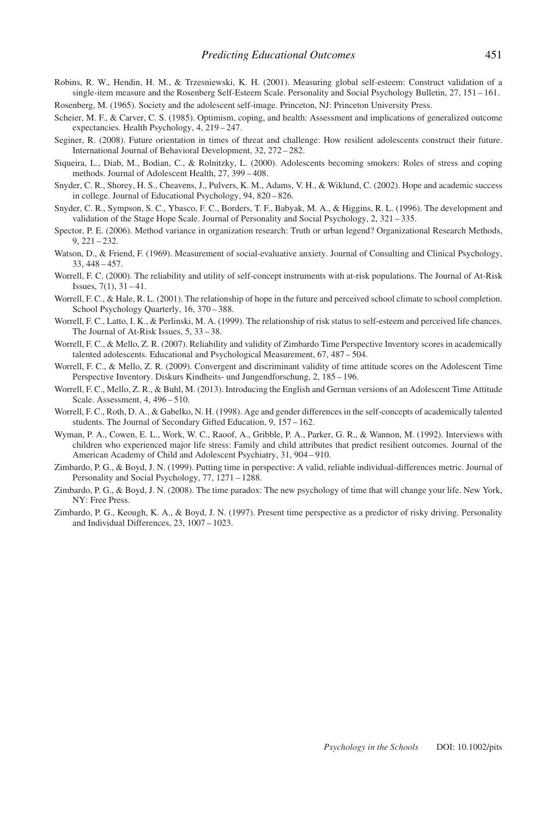- Robins, R. W., Hendin, H. M., & Trzesniewski, K. H. (2001). Measuring global self-esteem: Construct validation of a single-item measure and the Rosenberg Self-Esteem Scale. Personality and Social Psychology Bulletin, 27, 151 – 161.
- Rosenberg, M. (1965). Society and the adolescent self-image. Princeton, NJ: Princeton University Press.
- Scheier, M. F., & Carver, C. S. (1985). Optimism, coping, and health: Assessment and implications of generalized outcome expectancies. Health Psychology, 4, 219 – 247.
- Seginer, R. (2008). Future orientation in times of threat and challenge: How resilient adolescents construct their future. International Journal of Behavioral Development, 32, 272 – 282.
- Siqueira, L., Diab, M., Bodian, C., & Rolnitzky, L. (2000). Adolescents becoming smokers: Roles of stress and coping methods. Journal of Adolescent Health, 27, 399 – 408.
- Snyder, C. R., Shorey, H. S., Cheavens, J., Pulvers, K. M., Adams, V. H., & Wiklund, C. (2002). Hope and academic success in college. Journal of Educational Psychology, 94, 820 – 826.
- Snyder, C. R., Sympson, S. C., Ybasco, F. C., Borders, T. F., Babyak, M. A., & Higgins, R. L. (1996). The development and validation of the Stage Hope Scale. Journal of Personality and Social Psychology, 2, 321 – 335.
- Spector, P. E. (2006). Method variance in organization research: Truth or urban legend? Organizational Research Methods, 9, 221 – 232.
- Watson, D., & Friend, F. (1969). Measurement of social-evaluative anxiety. Journal of Consulting and Clinical Psychology, 33, 448 – 457.
- Worrell, F. C. (2000). The reliability and utility of self-concept instruments with at-risk populations. The Journal of At-Risk Issues, 7(1), 31 – 41.
- Worrell, F. C., & Hale, R. L. (2001). The relationship of hope in the future and perceived school climate to school completion. School Psychology Quarterly, 16, 370 – 388.
- Worrell, F. C., Latto, I. K., & Perlinski, M. A. (1999). The relationship of risk status to self-esteem and perceived life chances. The Journal of At-Risk Issues, 5, 33 – 38.
- Worrell, F. C., & Mello, Z. R. (2007). Reliability and validity of Zimbardo Time Perspective Inventory scores in academically talented adolescents. Educational and Psychological Measurement, 67, 487 – 504.
- Worrell, F. C., & Mello, Z. R. (2009). Convergent and discriminant validity of time attitude scores on the Adolescent Time Perspective Inventory. Diskurs Kindheits- und Jungendforschung, 2, 185 – 196.
- Worrell, F. C., Mello, Z. R., & Buhl, M. (2013). Introducing the English and German versions of an Adolescent Time Attitude Scale. Assessment, 4, 496 – 510.
- Worrell, F. C., Roth, D. A., & Gabelko, N. H. (1998). Age and gender differences in the self-concepts of academically talented students. The Journal of Secondary Gifted Education, 9, 157 – 162.
- Wyman, P. A., Cowen, E. L., Work, W. C., Raoof, A., Gribble, P. A., Parker, G. R., & Wannon, M. (1992). Interviews with children who experienced major life stress: Family and child attributes that predict resilient outcomes. Journal of the American Academy of Child and Adolescent Psychiatry, 31, 904 – 910.
- Zimbardo, P. G., & Boyd, J. N. (1999). Putting time in perspective: A valid, reliable individual-differences metric. Journal of Personality and Social Psychology, 77, 1271 – 1288.
- Zimbardo, P. G., & Boyd, J. N. (2008). The time paradox: The new psychology of time that will change your life. New York, NY: Free Press.
- Zimbardo, P. G., Keough, K. A., & Boyd, J. N. (1997). Present time perspective as a predictor of risky driving. Personality and Individual Differences, 23, 1007 – 1023.